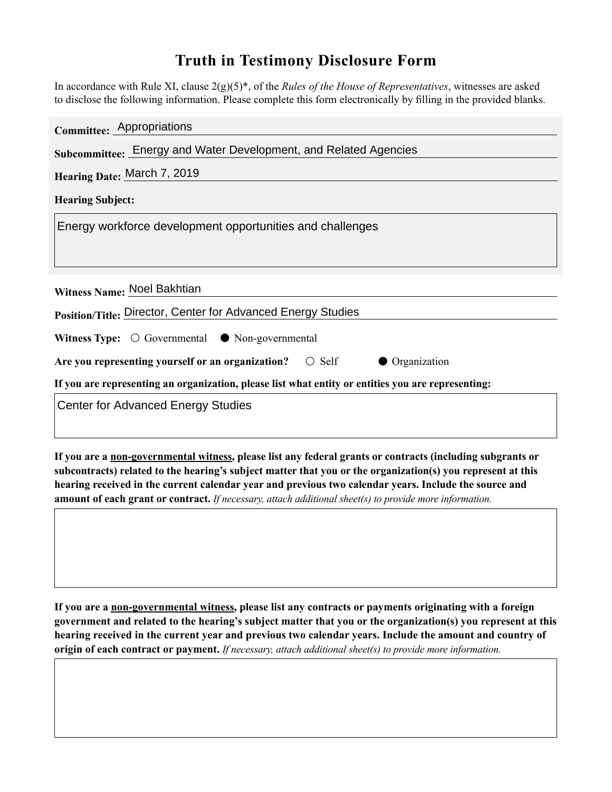## **Truth in Testimony Disclosure Form**

In accordance with Rule XI, clause 2(g)(5)\*, of the *Rules of the House of Representatives*, witnesses are asked to disclose the following information. Please complete this form electronically by filling in the provided blanks.

| Committee: Appropriations                                                                          |
|----------------------------------------------------------------------------------------------------|
| Subcommittee: Energy and Water Development, and Related Agencies                                   |
| Hearing Date: March 7, 2019                                                                        |
| <b>Hearing Subject:</b>                                                                            |
| Energy workforce development opportunities and challenges                                          |
|                                                                                                    |
|                                                                                                    |
| Witness Name: Noel Bakhtian                                                                        |
| Position/Title: Director, Center for Advanced Energy Studies                                       |
| <b>Witness Type:</b> $\bigcirc$ Governmental $\bullet$ Non-governmental                            |
| Are you representing yourself or an organization? $\circ$ Self<br>• Organization                   |
| If you are representing an organization, please list what entity or entities you are representing: |
| <b>Center for Advanced Energy Studies</b>                                                          |
|                                                                                                    |

**If you are a non-governmental witness, please list any federal grants or contracts (including subgrants or subcontracts) related to the hearing's subject matter that you or the organization(s) you represent at this hearing received in the current calendar year and previous two calendar years. Include the source and amount of each grant or contract.** *If necessary, attach additional sheet(s) to provide more information.*

**If you are a non-governmental witness, please list any contracts or payments originating with a foreign government and related to the hearing's subject matter that you or the organization(s) you represent at this hearing received in the current year and previous two calendar years. Include the amount and country of origin of each contract or payment.** *If necessary, attach additional sheet(s) to provide more information.*